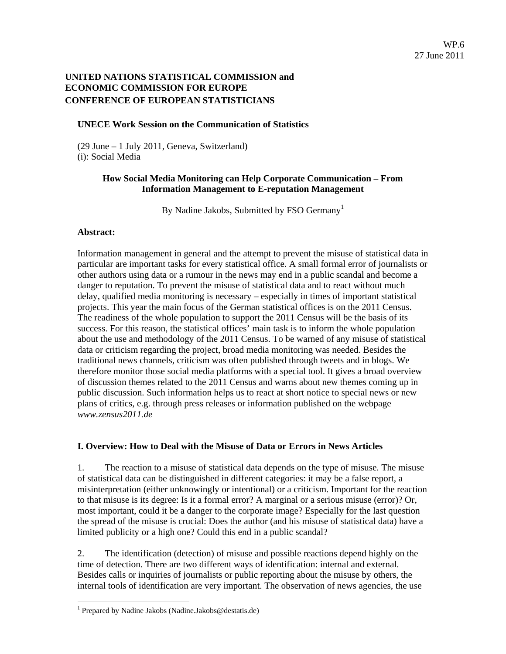# **UNITED NATIONS STATISTICAL COMMISSION and ECONOMIC COMMISSION FOR EUROPE CONFERENCE OF EUROPEAN STATISTICIANS**

#### **UNECE Work Session on the Communication of Statistics**

(29 June – 1 July 2011, Geneva, Switzerland) (i): Social Media

#### **How Social Media Monitoring can Help Corporate Communication – From Information Management to E-reputation Management**

By Nadine Jakobs, Submitted by FSO Germany<sup>1</sup>

#### **Abstract:**

-

Information management in general and the attempt to prevent the misuse of statistical data in particular are important tasks for every statistical office. A small formal error of journalists or other authors using data or a rumour in the news may end in a public scandal and become a danger to reputation. To prevent the misuse of statistical data and to react without much delay, qualified media monitoring is necessary – especially in times of important statistical projects. This year the main focus of the German statistical offices is on the 2011 Census. The readiness of the whole population to support the 2011 Census will be the basis of its success. For this reason, the statistical offices' main task is to inform the whole population about the use and methodology of the 2011 Census. To be warned of any misuse of statistical data or criticism regarding the project, broad media monitoring was needed. Besides the traditional news channels, criticism was often published through tweets and in blogs. We therefore monitor those social media platforms with a special tool. It gives a broad overview of discussion themes related to the 2011 Census and warns about new themes coming up in public discussion. Such information helps us to react at short notice to special news or new plans of critics, e.g. through press releases or information published on the webpage *www.zensus2011.de*

#### **I. Overview: How to Deal with the Misuse of Data or Errors in News Articles**

1. The reaction to a misuse of statistical data depends on the type of misuse. The misuse of statistical data can be distinguished in different categories: it may be a false report, a misinterpretation (either unknowingly or intentional) or a criticism. Important for the reaction to that misuse is its degree: Is it a formal error? A marginal or a serious misuse (error)? Or, most important, could it be a danger to the corporate image? Especially for the last question the spread of the misuse is crucial: Does the author (and his misuse of statistical data) have a limited publicity or a high one? Could this end in a public scandal?

2. The identification (detection) of misuse and possible reactions depend highly on the time of detection. There are two different ways of identification: internal and external. Besides calls or inquiries of journalists or public reporting about the misuse by others, the internal tools of identification are very important. The observation of news agencies, the use

<sup>&</sup>lt;sup>1</sup> Prepared by Nadine Jakobs (Nadine.Jakobs@destatis.de)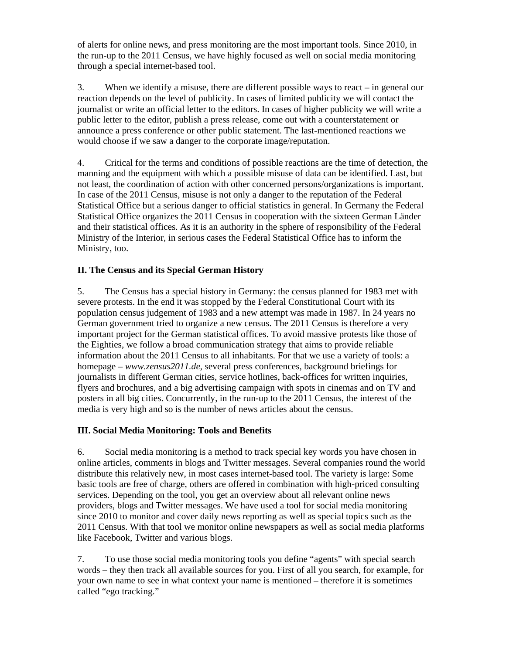of alerts for online news, and press monitoring are the most important tools. Since 2010, in the run-up to the 2011 Census, we have highly focused as well on social media monitoring through a special internet-based tool.

3. When we identify a misuse, there are different possible ways to react – in general our reaction depends on the level of publicity. In cases of limited publicity we will contact the journalist or write an official letter to the editors. In cases of higher publicity we will write a public letter to the editor, publish a press release, come out with a counterstatement or announce a press conference or other public statement. The last-mentioned reactions we would choose if we saw a danger to the corporate image/reputation.

4. Critical for the terms and conditions of possible reactions are the time of detection, the manning and the equipment with which a possible misuse of data can be identified. Last, but not least, the coordination of action with other concerned persons/organizations is important. In case of the 2011 Census, misuse is not only a danger to the reputation of the Federal Statistical Office but a serious danger to official statistics in general. In Germany the Federal Statistical Office organizes the 2011 Census in cooperation with the sixteen German Länder and their statistical offices. As it is an authority in the sphere of responsibility of the Federal Ministry of the Interior, in serious cases the Federal Statistical Office has to inform the Ministry, too.

## **II. The Census and its Special German History**

5. The Census has a special history in Germany: the census planned for 1983 met with severe protests. In the end it was stopped by the Federal Constitutional Court with its population census judgement of 1983 and a new attempt was made in 1987. In 24 years no German government tried to organize a new census. The 2011 Census is therefore a very important project for the German statistical offices. To avoid massive protests like those of the Eighties, we follow a broad communication strategy that aims to provide reliable information about the 2011 Census to all inhabitants. For that we use a variety of tools: a homepage – *www.zensus2011.de*, several press conferences, background briefings for journalists in different German cities, service hotlines, back-offices for written inquiries, flyers and brochures, and a big advertising campaign with spots in cinemas and on TV and posters in all big cities. Concurrently, in the run-up to the 2011 Census, the interest of the media is very high and so is the number of news articles about the census.

## **III. Social Media Monitoring: Tools and Benefits**

6. Social media monitoring is a method to track special key words you have chosen in online articles, comments in blogs and Twitter messages. Several companies round the world distribute this relatively new, in most cases internet-based tool. The variety is large: Some basic tools are free of charge, others are offered in combination with high-priced consulting services. Depending on the tool, you get an overview about all relevant online news providers, blogs and Twitter messages. We have used a tool for social media monitoring since 2010 to monitor and cover daily news reporting as well as special topics such as the 2011 Census. With that tool we monitor online newspapers as well as social media platforms like Facebook, Twitter and various blogs.

7. To use those social media monitoring tools you define "agents" with special search words – they then track all available sources for you. First of all you search, for example, for your own name to see in what context your name is mentioned – therefore it is sometimes called "ego tracking."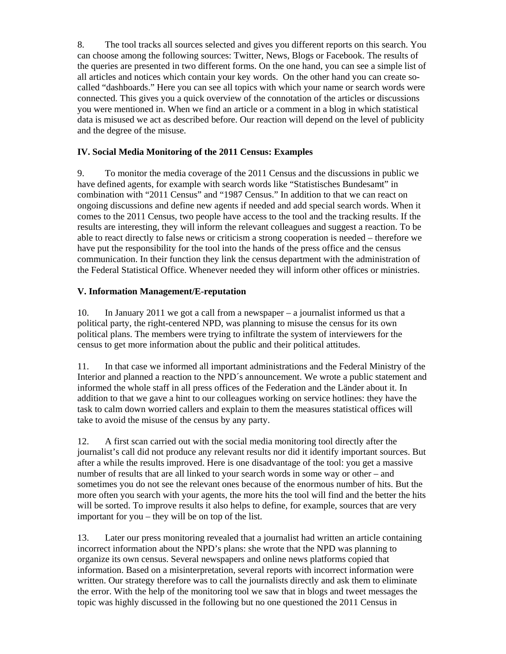8. The tool tracks all sources selected and gives you different reports on this search. You can choose among the following sources: Twitter, News, Blogs or Facebook. The results of the queries are presented in two different forms. On the one hand, you can see a simple list of all articles and notices which contain your key words. On the other hand you can create socalled "dashboards." Here you can see all topics with which your name or search words were connected. This gives you a quick overview of the connotation of the articles or discussions you were mentioned in. When we find an article or a comment in a blog in which statistical data is misused we act as described before. Our reaction will depend on the level of publicity and the degree of the misuse.

# **IV. Social Media Monitoring of the 2011 Census: Examples**

9. To monitor the media coverage of the 2011 Census and the discussions in public we have defined agents, for example with search words like "Statistisches Bundesamt" in combination with "2011 Census" and "1987 Census." In addition to that we can react on ongoing discussions and define new agents if needed and add special search words. When it comes to the 2011 Census, two people have access to the tool and the tracking results. If the results are interesting, they will inform the relevant colleagues and suggest a reaction. To be able to react directly to false news or criticism a strong cooperation is needed – therefore we have put the responsibility for the tool into the hands of the press office and the census communication. In their function they link the census department with the administration of the Federal Statistical Office. Whenever needed they will inform other offices or ministries.

## **V. Information Management/E-reputation**

10. In January 2011 we got a call from a newspaper – a journalist informed us that a political party, the right-centered NPD, was planning to misuse the census for its own political plans. The members were trying to infiltrate the system of interviewers for the census to get more information about the public and their political attitudes.

11. In that case we informed all important administrations and the Federal Ministry of the Interior and planned a reaction to the NPD´s announcement. We wrote a public statement and informed the whole staff in all press offices of the Federation and the Länder about it. In addition to that we gave a hint to our colleagues working on service hotlines: they have the task to calm down worried callers and explain to them the measures statistical offices will take to avoid the misuse of the census by any party.

12. A first scan carried out with the social media monitoring tool directly after the journalist's call did not produce any relevant results nor did it identify important sources. But after a while the results improved. Here is one disadvantage of the tool: you get a massive number of results that are all linked to your search words in some way or other – and sometimes you do not see the relevant ones because of the enormous number of hits. But the more often you search with your agents, the more hits the tool will find and the better the hits will be sorted. To improve results it also helps to define, for example, sources that are very important for you – they will be on top of the list.

13. Later our press monitoring revealed that a journalist had written an article containing incorrect information about the NPD's plans: she wrote that the NPD was planning to organize its own census. Several newspapers and online news platforms copied that information. Based on a misinterpretation, several reports with incorrect information were written. Our strategy therefore was to call the journalists directly and ask them to eliminate the error. With the help of the monitoring tool we saw that in blogs and tweet messages the topic was highly discussed in the following but no one questioned the 2011 Census in